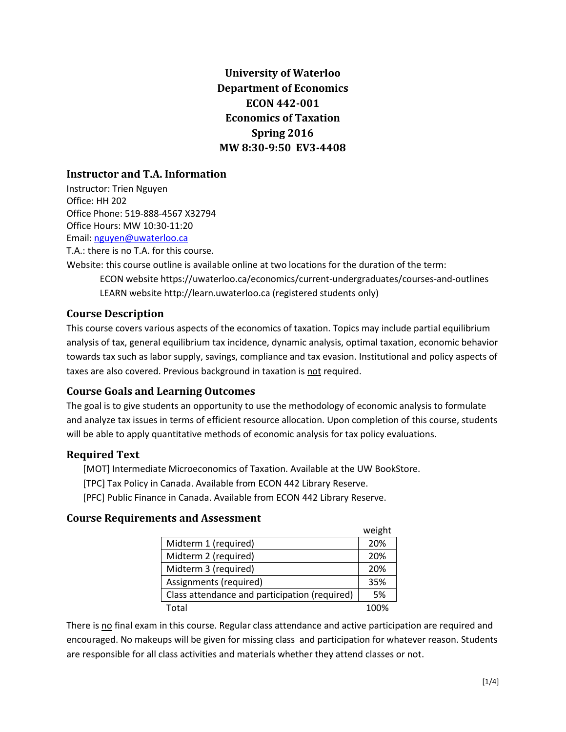# **University of Waterloo Department of Economics ECON 442-001 Economics of Taxation Spring 2016 MW 8:30-9:50 EV3-4408**

# **Instructor and T.A. Information**

Instructor: Trien Nguyen Office: HH 202 Office Phone: 519-888-4567 X32794 Office Hours: MW 10:30-11:20 Email: [nguyen@uwaterloo.ca](mailto:nguyen@uwaterloo.ca) T.A.: there is no T.A. for this course.

Website: this course outline is available online at two locations for the duration of the term:

ECON website https://uwaterloo.ca/economics/current-undergraduates/courses-and-outlines LEARN website http://learn.uwaterloo.ca (registered students only)

# **Course Description**

This course covers various aspects of the economics of taxation. Topics may include partial equilibrium analysis of tax, general equilibrium tax incidence, dynamic analysis, optimal taxation, economic behavior towards tax such as labor supply, savings, compliance and tax evasion. Institutional and policy aspects of taxes are also covered. Previous background in taxation is not required.

# **Course Goals and Learning Outcomes**

The goal is to give students an opportunity to use the methodology of economic analysis to formulate and analyze tax issues in terms of efficient resource allocation. Upon completion of this course, students will be able to apply quantitative methods of economic analysis for tax policy evaluations.

# **Required Text**

[MOT] Intermediate Microeconomics of Taxation. Available at the UW BookStore.

- [TPC] Tax Policy in Canada. Available from ECON 442 Library Reserve.
- [PFC] Public Finance in Canada. Available from ECON 442 Library Reserve.

#### **Course Requirements and Assessment**

|                                               | weight |
|-----------------------------------------------|--------|
| Midterm 1 (required)                          | 20%    |
| Midterm 2 (required)                          | 20%    |
| Midterm 3 (required)                          | 20%    |
| Assignments (required)                        | 35%    |
| Class attendance and participation (required) | 5%     |
| Total                                         | 1በበ%   |

 $m < h$ 

There is no final exam in this course. Regular class attendance and active participation are required and encouraged. No makeups will be given for missing class and participation for whatever reason. Students are responsible for all class activities and materials whether they attend classes or not.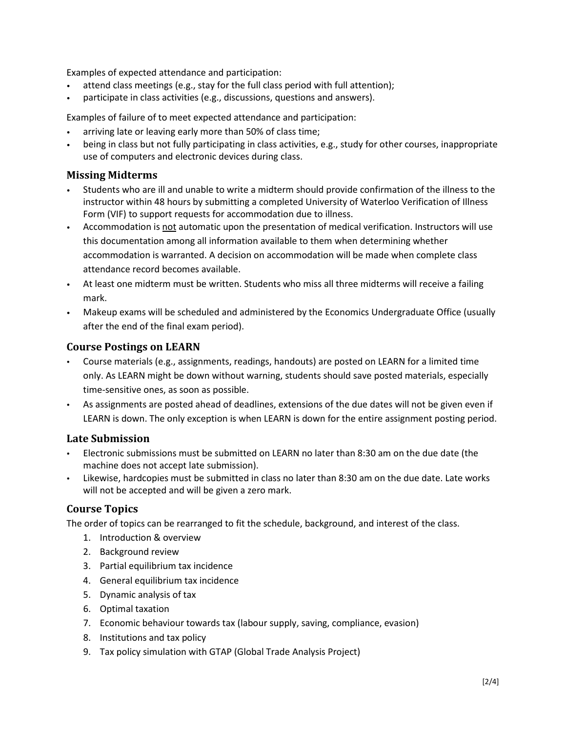Examples of expected attendance and participation:

- attend class meetings (e.g., stay for the full class period with full attention);
- participate in class activities (e.g., discussions, questions and answers).

Examples of failure of to meet expected attendance and participation:

- arriving late or leaving early more than 50% of class time;
- being in class but not fully participating in class activities, e.g., study for other courses, inappropriate use of computers and electronic devices during class.

### **Missing Midterms**

- Students who are ill and unable to write a midterm should provide confirmation of the illness to the instructor within 48 hours by submitting a completed University of Waterloo Verification of Illness Form (VIF) to support requests for accommodation due to illness.
- Accommodation is not automatic upon the presentation of medical verification. Instructors will use this documentation among all information available to them when determining whether accommodation is warranted. A decision on accommodation will be made when complete class attendance record becomes available.
- At least one midterm must be written. Students who miss all three midterms will receive a failing mark.
- Makeup exams will be scheduled and administered by the Economics Undergraduate Office (usually after the end of the final exam period).

#### **Course Postings on LEARN**

- Course materials (e.g., assignments, readings, handouts) are posted on LEARN for a limited time only. As LEARN might be down without warning, students should save posted materials, especially time-sensitive ones, as soon as possible.
- As assignments are posted ahead of deadlines, extensions of the due dates will not be given even if LEARN is down. The only exception is when LEARN is down for the entire assignment posting period.

#### **Late Submission**

- Electronic submissions must be submitted on LEARN no later than 8:30 am on the due date (the machine does not accept late submission).
- Likewise, hardcopies must be submitted in class no later than 8:30 am on the due date. Late works will not be accepted and will be given a zero mark.

#### **Course Topics**

The order of topics can be rearranged to fit the schedule, background, and interest of the class.

- 1. Introduction & overview
- 2. Background review
- 3. Partial equilibrium tax incidence
- 4. General equilibrium tax incidence
- 5. Dynamic analysis of tax
- 6. Optimal taxation
- 7. Economic behaviour towards tax (labour supply, saving, compliance, evasion)
- 8. Institutions and tax policy
- 9. Tax policy simulation with GTAP (Global Trade Analysis Project)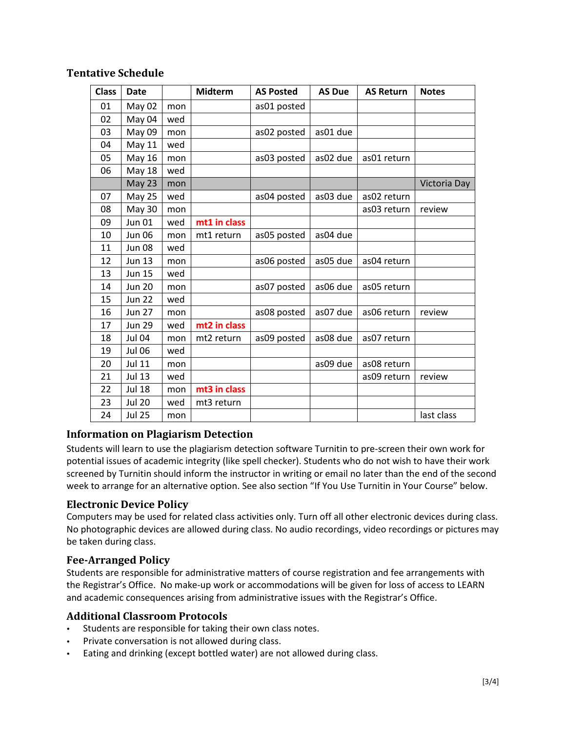| <b>Class</b> | <b>Date</b>   |     | <b>Midterm</b> | <b>AS Posted</b> | <b>AS Due</b> | <b>AS Return</b> | <b>Notes</b> |
|--------------|---------------|-----|----------------|------------------|---------------|------------------|--------------|
| 01           | May 02        | mon |                | as01 posted      |               |                  |              |
| 02           | May 04        | wed |                |                  |               |                  |              |
| 03           | May 09        | mon |                | as02 posted      | as01 due      |                  |              |
| 04           | May 11        | wed |                |                  |               |                  |              |
| 05           | May 16        | mon |                | as03 posted      | as02 due      | as01 return      |              |
| 06           | <b>May 18</b> | wed |                |                  |               |                  |              |
|              | May 23        | mon |                |                  |               |                  | Victoria Day |
| 07           | <b>May 25</b> | wed |                | as04 posted      | as03 due      | as02 return      |              |
| 08           | May 30        | mon |                |                  |               | as03 return      | review       |
| 09           | <b>Jun 01</b> | wed | mt1 in class   |                  |               |                  |              |
| 10           | <b>Jun 06</b> | mon | mt1 return     | as05 posted      | as04 due      |                  |              |
| 11           | <b>Jun 08</b> | wed |                |                  |               |                  |              |
| 12           | <b>Jun 13</b> | mon |                | as06 posted      | as05 due      | as04 return      |              |
| 13           | <b>Jun 15</b> | wed |                |                  |               |                  |              |
| 14           | <b>Jun 20</b> | mon |                | as07 posted      | as06 due      | as05 return      |              |
| 15           | <b>Jun 22</b> | wed |                |                  |               |                  |              |
| 16           | <b>Jun 27</b> | mon |                | as08 posted      | as07 due      | as06 return      | review       |
| 17           | <b>Jun 29</b> | wed | mt2 in class   |                  |               |                  |              |
| 18           | <b>Jul 04</b> | mon | mt2 return     | as09 posted      | as08 due      | as07 return      |              |
| 19           | <b>Jul 06</b> | wed |                |                  |               |                  |              |
| 20           | <b>Jul 11</b> | mon |                |                  | as09 due      | as08 return      |              |
| 21           | <b>Jul 13</b> | wed |                |                  |               | as09 return      | review       |
| 22           | <b>Jul 18</b> | mon | mt3 in class   |                  |               |                  |              |
| 23           | <b>Jul 20</b> | wed | mt3 return     |                  |               |                  |              |
| 24           | <b>Jul 25</b> | mon |                |                  |               |                  | last class   |

#### **Tentative Schedule**

#### **Information on Plagiarism Detection**

Students will learn to use the plagiarism detection software Turnitin to pre-screen their own work for potential issues of academic integrity (like spell checker). Students who do not wish to have their work screened by Turnitin should inform the instructor in writing or email no later than the end of the second week to arrange for an alternative option. See also section "If You Use Turnitin in Your Course" below.

#### **Electronic Device Policy**

Computers may be used for related class activities only. Turn off all other electronic devices during class. No photographic devices are allowed during class. No audio recordings, video recordings or pictures may be taken during class.

#### **Fee-Arranged Policy**

Students are responsible for administrative matters of course registration and fee arrangements with the Registrar's Office. No make-up work or accommodations will be given for loss of access to LEARN and academic consequences arising from administrative issues with the Registrar's Office.

#### **Additional Classroom Protocols**

- Students are responsible for taking their own class notes.
- Private conversation is not allowed during class.
- Eating and drinking (except bottled water) are not allowed during class.